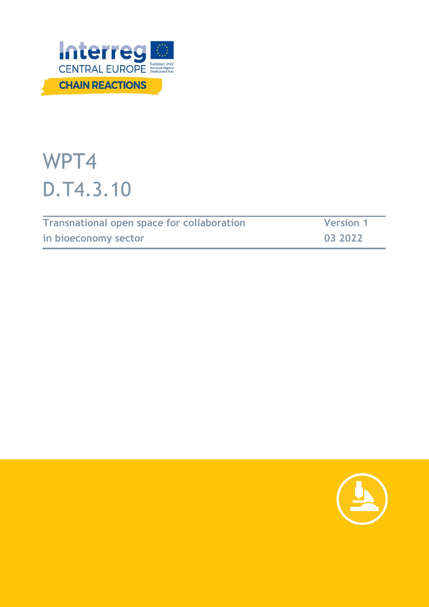

# WPT4 D.T4.3.10

| <b>Transnational open space for collaboration</b> | <b>Version 1</b> |
|---------------------------------------------------|------------------|
| in bioeconomy sector                              | 03 2022          |

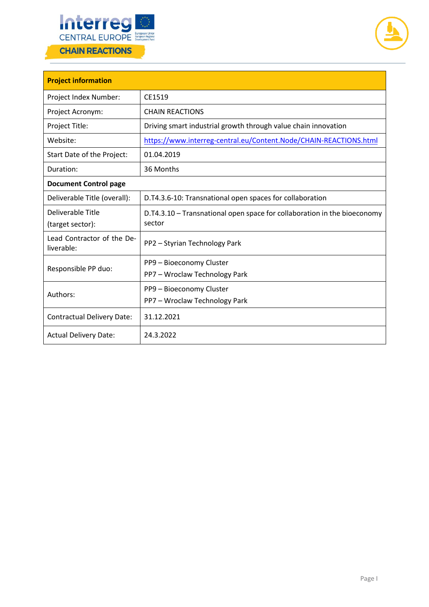



| <b>Project information</b>               |                                                                                    |  |  |
|------------------------------------------|------------------------------------------------------------------------------------|--|--|
| Project Index Number:                    | CE1519                                                                             |  |  |
| Project Acronym:                         | <b>CHAIN REACTIONS</b>                                                             |  |  |
| Project Title:                           | Driving smart industrial growth through value chain innovation                     |  |  |
| Website:                                 | https://www.interreg-central.eu/Content.Node/CHAIN-REACTIONS.html                  |  |  |
| Start Date of the Project:               | 01.04.2019                                                                         |  |  |
| Duration:                                | 36 Months                                                                          |  |  |
| <b>Document Control page</b>             |                                                                                    |  |  |
| Deliverable Title (overall):             | D.T4.3.6-10: Transnational open spaces for collaboration                           |  |  |
| Deliverable Title<br>(target sector):    | D.T4.3.10 – Transnational open space for collaboration in the bioeconomy<br>sector |  |  |
| Lead Contractor of the De-<br>liverable: | PP2 - Styrian Technology Park                                                      |  |  |
| Responsible PP duo:                      | PP9 - Bioeconomy Cluster<br>PP7 - Wroclaw Technology Park                          |  |  |
| Authors:                                 | PP9 - Bioeconomy Cluster<br>PP7 - Wroclaw Technology Park                          |  |  |
| <b>Contractual Delivery Date:</b>        | 31.12.2021                                                                         |  |  |
| <b>Actual Delivery Date:</b>             | 24.3.2022                                                                          |  |  |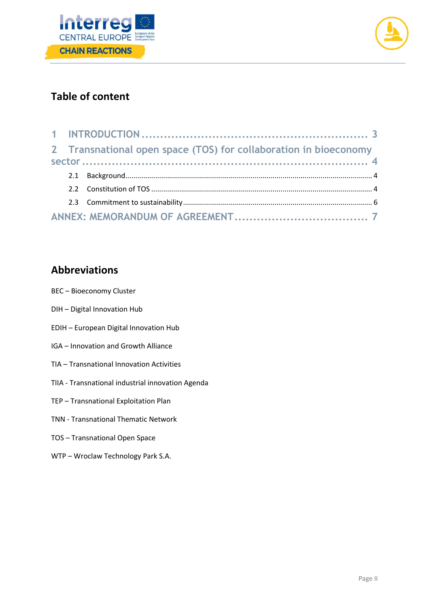



### **Table of content**

|  | 2 Transnational open space (TOS) for collaboration in bioeconomy |  |
|--|------------------------------------------------------------------|--|
|  |                                                                  |  |
|  |                                                                  |  |
|  |                                                                  |  |
|  |                                                                  |  |
|  |                                                                  |  |

### **Abbreviations**

- BEC Bioeconomy Cluster
- DIH Digital Innovation Hub
- EDIH European Digital Innovation Hub
- IGA Innovation and Growth Alliance
- TIA Transnational Innovation Activities
- TIIA Transnational industrial innovation Agenda
- TEP Transnational Exploitation Plan
- TNN Transnational Thematic Network
- TOS Transnational Open Space
- WTP Wroclaw Technology Park S.A.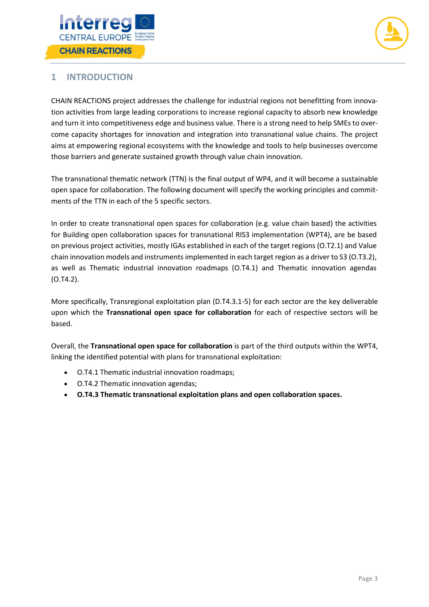



### <span id="page-3-0"></span>**1 INTRODUCTION**

CHAIN REACTIONS project addresses the challenge for industrial regions not benefitting from innovation activities from large leading corporations to increase regional capacity to absorb new knowledge and turn it into competitiveness edge and business value. There is a strong need to help SMEs to overcome capacity shortages for innovation and integration into transnational value chains. The project aims at empowering regional ecosystems with the knowledge and tools to help businesses overcome those barriers and generate sustained growth through value chain innovation.

The transnational thematic network (TTN) is the final output of WP4, and it will become a sustainable open space for collaboration. The following document will specify the working principles and commitments of the TTN in each of the 5 specific sectors.

In order to create transnational open spaces for collaboration (e.g. value chain based) the activities for Building open collaboration spaces for transnational RIS3 implementation (WPT4), are be based on previous project activities, mostly IGAs established in each of the target regions (O.T2.1) and Value chain innovation models and instruments implemented in each target region as a driver to S3 (O.T3.2), as well as Thematic industrial innovation roadmaps (O.T4.1) and Thematic innovation agendas (O.T4.2).

More specifically, Transregional exploitation plan (D.T4.3.1-5) for each sector are the key deliverable upon which the **Transnational open space for collaboration** for each of respective sectors will be based.

Overall, the **Transnational open space for collaboration** is part of the third outputs within the WPT4, linking the identified potential with plans for transnational exploitation:

- O.T4.1 Thematic industrial innovation roadmaps;
- O.T4.2 Thematic innovation agendas;
- **O.T4.3 Thematic transnational exploitation plans and open collaboration spaces.**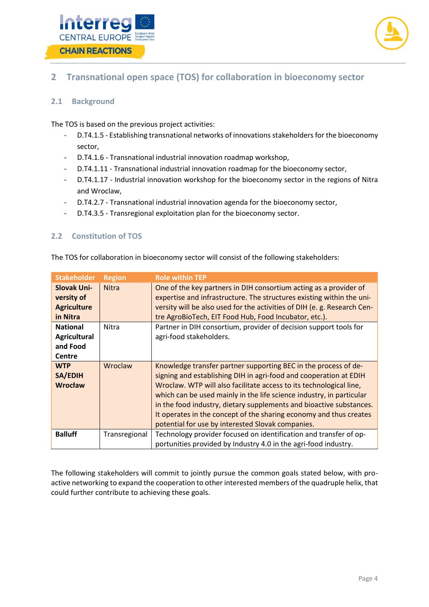



### <span id="page-4-0"></span>**2 Transnational open space (TOS) for collaboration in bioeconomy sector**

### <span id="page-4-1"></span>**2.1 Background**

The TOS is based on the previous project activities:

- D.T4.1.5 Establishing transnational networks of innovations stakeholders for the bioeconomy sector,
- D.T4.1.6 Transnational industrial innovation roadmap workshop,
- D.T4.1.11 Transnational industrial innovation roadmap for the bioeconomy sector,
- D.T4.1.17 Industrial innovation workshop for the bioeconomy sector in the regions of Nitra and Wroclaw,
- D.T4.2.7 Transnational industrial innovation agenda for the bioeconomy sector,
- D.T4.3.5 Transregional exploitation plan for the bioeconomy sector.

### <span id="page-4-2"></span>**2.2 Constitution of TOS**

|  |  |  |  |  | The TOS for collaboration in bioeconomy sector will consist of the following stakeholders: |  |
|--|--|--|--|--|--------------------------------------------------------------------------------------------|--|
|  |  |  |  |  |                                                                                            |  |

| <b>Stakeholder</b>                                                  | <b>Region</b>  | <b>Role within TEP</b>                                                                                                                                                                                                                                                                                                                                                                                                                                                                |
|---------------------------------------------------------------------|----------------|---------------------------------------------------------------------------------------------------------------------------------------------------------------------------------------------------------------------------------------------------------------------------------------------------------------------------------------------------------------------------------------------------------------------------------------------------------------------------------------|
| <b>Slovak Uni-</b><br>versity of<br><b>Agriculture</b><br>in Nitra  | <b>Nitra</b>   | One of the key partners in DIH consortium acting as a provider of<br>expertise and infrastructure. The structures existing within the uni-<br>versity will be also used for the activities of DIH (e. g. Research Cen-<br>tre AgroBioTech, EIT Food Hub, Food Incubator, etc.).                                                                                                                                                                                                       |
| <b>National</b><br><b>Agricultural</b><br>and Food<br><b>Centre</b> | <b>Nitra</b>   | Partner in DIH consortium, provider of decision support tools for<br>agri-food stakeholders.                                                                                                                                                                                                                                                                                                                                                                                          |
| <b>WTP</b><br><b>SA/EDIH</b><br>Wrocław                             | <b>Wroclaw</b> | Knowledge transfer partner supporting BEC in the process of de-<br>signing and establishing DIH in agri-food and cooperation at EDIH<br>Wroclaw. WTP will also facilitate access to its technological line,<br>which can be used mainly in the life science industry, in particular<br>in the food industry, dietary supplements and bioactive substances.<br>It operates in the concept of the sharing economy and thus creates<br>potential for use by interested Slovak companies. |
| <b>Balluff</b>                                                      | Transregional  | Technology provider focused on identification and transfer of op-<br>portunities provided by Industry 4.0 in the agri-food industry.                                                                                                                                                                                                                                                                                                                                                  |

The following stakeholders will commit to jointly pursue the common goals stated below, with proactive networking to expand the cooperation to other interested members of the quadruple helix, that could further contribute to achieving these goals.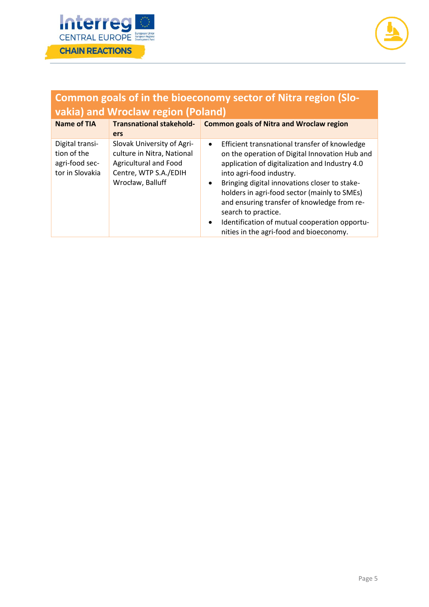



### **Common goals of in the bioeconomy sector of Nitra region (Slovakia) and Wroclaw region (Poland)**

| Name of TIA                                                         | <b>Transnational stakehold-</b><br><b>ers</b>                                                                                         | <b>Common goals of Nitra and Wroclaw region</b>                                                                                                                                                                                                                                                                                                                                                                                                                                         |
|---------------------------------------------------------------------|---------------------------------------------------------------------------------------------------------------------------------------|-----------------------------------------------------------------------------------------------------------------------------------------------------------------------------------------------------------------------------------------------------------------------------------------------------------------------------------------------------------------------------------------------------------------------------------------------------------------------------------------|
| Digital transi-<br>tion of the<br>agri-food sec-<br>tor in Slovakia | Slovak University of Agri-<br>culture in Nitra, National<br><b>Agricultural and Food</b><br>Centre, WTP S.A./EDIH<br>Wrocław, Balluff | Efficient transnational transfer of knowledge<br>$\bullet$<br>on the operation of Digital Innovation Hub and<br>application of digitalization and Industry 4.0<br>into agri-food industry.<br>Bringing digital innovations closer to stake-<br>$\bullet$<br>holders in agri-food sector (mainly to SMEs)<br>and ensuring transfer of knowledge from re-<br>search to practice.<br>Identification of mutual cooperation opportu-<br>$\bullet$<br>nities in the agri-food and bioeconomy. |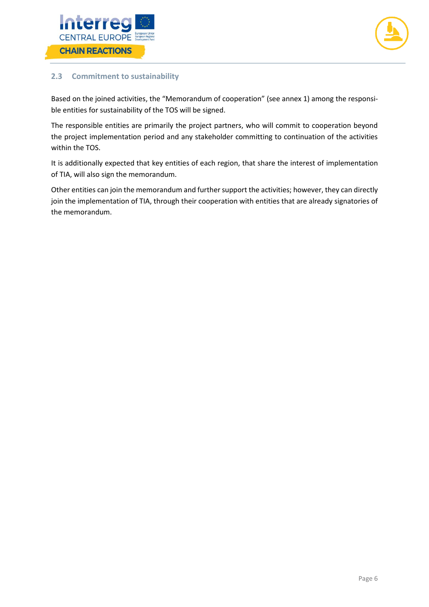



### <span id="page-6-0"></span>**2.3 Commitment to sustainability**

Based on the joined activities, the "Memorandum of cooperation" (see annex 1) among the responsible entities for sustainability of the TOS will be signed.

The responsible entities are primarily the project partners, who will commit to cooperation beyond the project implementation period and any stakeholder committing to continuation of the activities within the TOS.

It is additionally expected that key entities of each region, that share the interest of implementation of TIA, will also sign the memorandum.

Other entities can join the memorandum and further support the activities; however, they can directly join the implementation of TIA, through their cooperation with entities that are already signatories of the memorandum.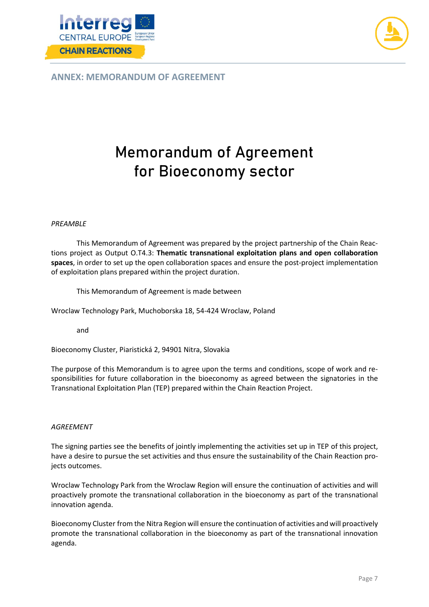



<span id="page-7-0"></span>**ANNEX: MEMORANDUM OF AGREEMENT**

## **Memorandum of Agreement for Bioeconomy sector**

#### *PREAMBLE*

This Memorandum of Agreement was prepared by the project partnership of the Chain Reactions project as Output O.T4.3: **Thematic transnational exploitation plans and open collaboration spaces**, in order to set up the open collaboration spaces and ensure the post-project implementation of exploitation plans prepared within the project duration.

This Memorandum of Agreement is made between

Wroclaw Technology Park, Muchoborska 18, 54-424 Wroclaw, Poland

and

Bioeconomy Cluster, Piaristická 2, 94901 Nitra, Slovakia

The purpose of this Memorandum is to agree upon the terms and conditions, scope of work and responsibilities for future collaboration in the bioeconomy as agreed between the signatories in the Transnational Exploitation Plan (TEP) prepared within the Chain Reaction Project.

#### *AGREEMENT*

The signing parties see the benefits of jointly implementing the activities set up in TEP of this project, have a desire to pursue the set activities and thus ensure the sustainability of the Chain Reaction projects outcomes.

Wroclaw Technology Park from the Wroclaw Region will ensure the continuation of activities and will proactively promote the transnational collaboration in the bioeconomy as part of the transnational innovation agenda.

Bioeconomy Cluster from the Nitra Region will ensure the continuation of activities and will proactively promote the transnational collaboration in the bioeconomy as part of the transnational innovation agenda.